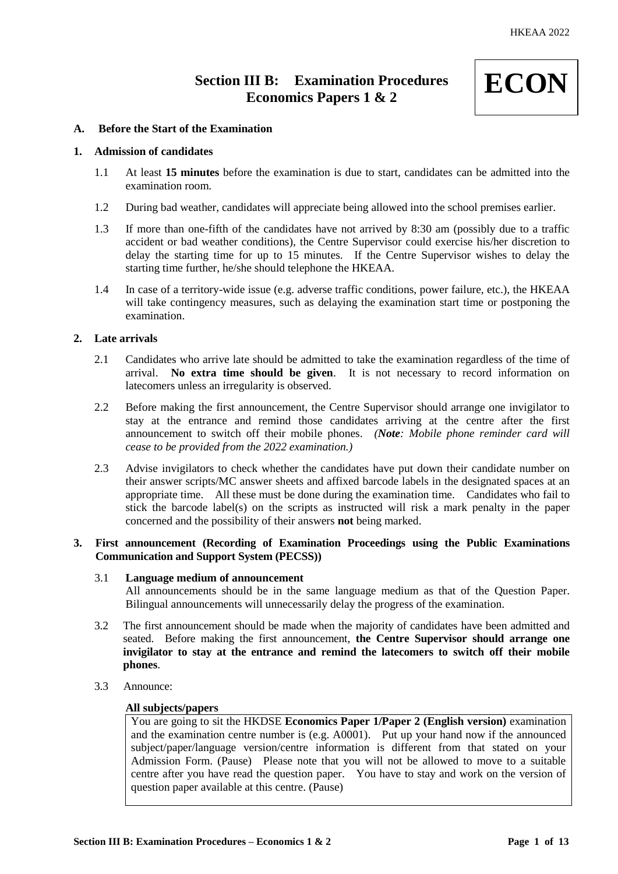# **Section III B: Examination Procedures Economics Papers 1 & 2**



# **A. Before the Start of the Examination**

# **1. Admission of candidates**

- 1.1 At least **15 minutes** before the examination is due to start, candidates can be admitted into the examination room.
- 1.2 During bad weather, candidates will appreciate being allowed into the school premises earlier.
- 1.3 If more than one-fifth of the candidates have not arrived by 8:30 am (possibly due to a traffic accident or bad weather conditions), the Centre Supervisor could exercise his/her discretion to delay the starting time for up to 15 minutes. If the Centre Supervisor wishes to delay the starting time further, he/she should telephone the HKEAA.
- 1.4 In case of a territory-wide issue (e.g. adverse traffic conditions, power failure, etc.), the HKEAA will take contingency measures, such as delaying the examination start time or postponing the examination.

# **2. Late arrivals**

- 2.1 Candidates who arrive late should be admitted to take the examination regardless of the time of arrival. **No extra time should be given**. It is not necessary to record information on latecomers unless an irregularity is observed.
- 2.2 Before making the first announcement, the Centre Supervisor should arrange one invigilator to stay at the entrance and remind those candidates arriving at the centre after the first announcement to switch off their mobile phones. *(Note: Mobile phone reminder card will cease to be provided from the 2022 examination.)*
- 2.3 Advise invigilators to check whether the candidates have put down their candidate number on their answer scripts/MC answer sheets and affixed barcode labels in the designated spaces at an appropriate time. All these must be done during the examination time. Candidates who fail to stick the barcode label(s) on the scripts as instructed will risk a mark penalty in the paper concerned and the possibility of their answers **not** being marked.

# **3. First announcement (Recording of Examination Proceedings using the Public Examinations Communication and Support System (PECSS))**

#### 3.1 **Language medium of announcement**

All announcements should be in the same language medium as that of the Question Paper. Bilingual announcements will unnecessarily delay the progress of the examination.

- 3.2 The first announcement should be made when the majority of candidates have been admitted and seated. Before making the first announcement, **the Centre Supervisor should arrange one invigilator to stay at the entrance and remind the latecomers to switch off their mobile phones**.
- 3.3 Announce:

# **All subjects/papers**

You are going to sit the HKDSE **Economics Paper 1/Paper 2 (English version)** examination and the examination centre number is (e.g. A0001). Put up your hand now if the announced subject/paper/language version/centre information is different from that stated on your Admission Form. (Pause) Please note that you will not be allowed to move to a suitable centre after you have read the question paper. You have to stay and work on the version of question paper available at this centre. (Pause)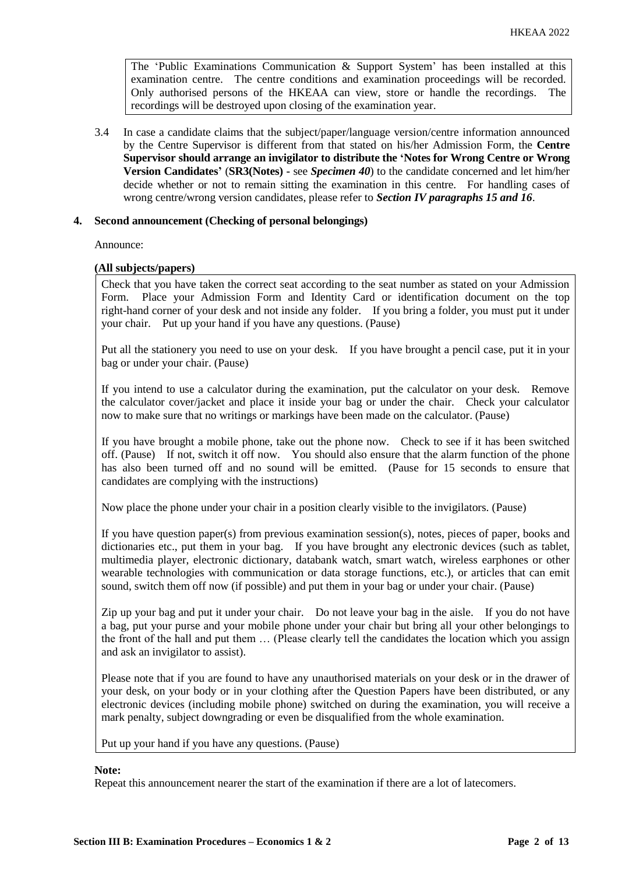The 'Public Examinations Communication  $\&$  Support System' has been installed at this examination centre. The centre conditions and examination proceedings will be recorded. Only authorised persons of the HKEAA can view, store or handle the recordings. The recordings will be destroyed upon closing of the examination year.

3.4 In case a candidate claims that the subject/paper/language version/centre information announced by the Centre Supervisor is different from that stated on his/her Admission Form, the **Centre Supervisor should arrange an invigilator to distribute the 'Notes for Wrong Centre or Wrong Version Candidates'** (**SR3(Notes) -** see *Specimen 40*) to the candidate concerned and let him/her decide whether or not to remain sitting the examination in this centre. For handling cases of wrong centre/wrong version candidates, please refer to *Section IV paragraphs 15 and 16*.

# **4. Second announcement (Checking of personal belongings)**

Announce:

## **(All subjects/papers)**

Check that you have taken the correct seat according to the seat number as stated on your Admission Form. Place your Admission Form and Identity Card or identification document on the top right-hand corner of your desk and not inside any folder. If you bring a folder, you must put it under your chair. Put up your hand if you have any questions. (Pause)

Put all the stationery you need to use on your desk. If you have brought a pencil case, put it in your bag or under your chair. (Pause)

If you intend to use a calculator during the examination, put the calculator on your desk. Remove the calculator cover/jacket and place it inside your bag or under the chair. Check your calculator now to make sure that no writings or markings have been made on the calculator. (Pause)

If you have brought a mobile phone, take out the phone now. Check to see if it has been switched off. (Pause) If not, switch it off now. You should also ensure that the alarm function of the phone has also been turned off and no sound will be emitted. (Pause for 15 seconds to ensure that candidates are complying with the instructions)

Now place the phone under your chair in a position clearly visible to the invigilators. (Pause)

If you have question paper(s) from previous examination session(s), notes, pieces of paper, books and dictionaries etc., put them in your bag. If you have brought any electronic devices (such as tablet, multimedia player, electronic dictionary, databank watch, smart watch, wireless earphones or other wearable technologies with communication or data storage functions, etc.), or articles that can emit sound, switch them off now (if possible) and put them in your bag or under your chair. (Pause)

Zip up your bag and put it under your chair. Do not leave your bag in the aisle. If you do not have a bag, put your purse and your mobile phone under your chair but bring all your other belongings to the front of the hall and put them … (Please clearly tell the candidates the location which you assign and ask an invigilator to assist).

Please note that if you are found to have any unauthorised materials on your desk or in the drawer of your desk, on your body or in your clothing after the Question Papers have been distributed, or any electronic devices (including mobile phone) switched on during the examination, you will receive a mark penalty, subject downgrading or even be disqualified from the whole examination.

Put up your hand if you have any questions. (Pause)

#### **Note:**

Repeat this announcement nearer the start of the examination if there are a lot of latecomers.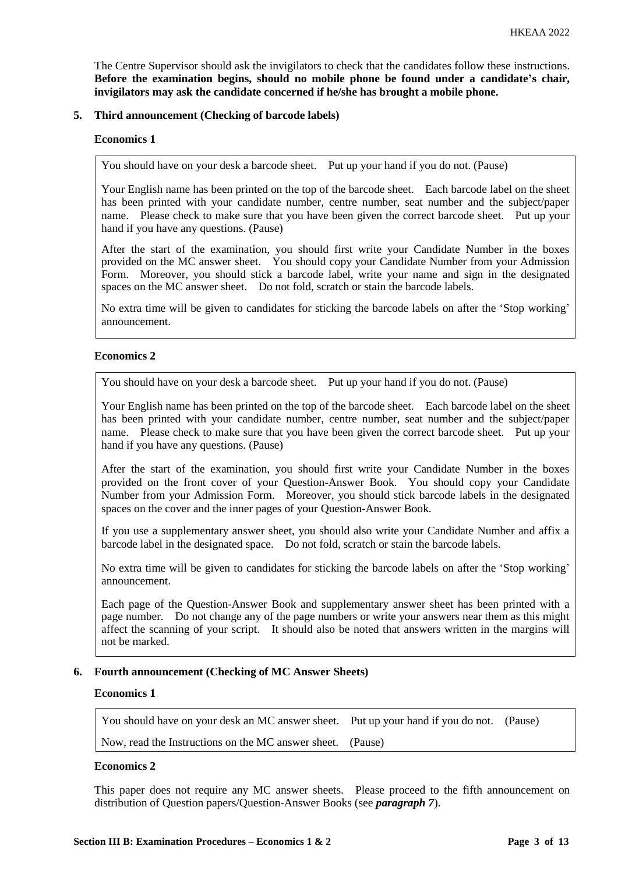The Centre Supervisor should ask the invigilators to check that the candidates follow these instructions. **Before the examination begins, should no mobile phone be found under a candidate's chair, invigilators may ask the candidate concerned if he/she has brought a mobile phone.**

## **5. Third announcement (Checking of barcode labels)**

#### **Economics 1**

You should have on your desk a barcode sheet. Put up your hand if you do not. (Pause)

Your English name has been printed on the top of the barcode sheet. Each barcode label on the sheet has been printed with your candidate number, centre number, seat number and the subject/paper name. Please check to make sure that you have been given the correct barcode sheet. Put up your hand if you have any questions. (Pause)

After the start of the examination, you should first write your Candidate Number in the boxes provided on the MC answer sheet. You should copy your Candidate Number from your Admission Form. Moreover, you should stick a barcode label, write your name and sign in the designated spaces on the MC answer sheet. Do not fold, scratch or stain the barcode labels.

No extra time will be given to candidates for sticking the barcode labels on after the 'Stop working' announcement.

## **Economics 2**

You should have on your desk a barcode sheet. Put up your hand if you do not. (Pause)

Your English name has been printed on the top of the barcode sheet. Each barcode label on the sheet has been printed with your candidate number, centre number, seat number and the subject/paper name. Please check to make sure that you have been given the correct barcode sheet. Put up your hand if you have any questions. (Pause)

After the start of the examination, you should first write your Candidate Number in the boxes provided on the front cover of your Question-Answer Book. You should copy your Candidate Number from your Admission Form. Moreover, you should stick barcode labels in the designated spaces on the cover and the inner pages of your Question-Answer Book.

If you use a supplementary answer sheet, you should also write your Candidate Number and affix a barcode label in the designated space. Do not fold, scratch or stain the barcode labels.

No extra time will be given to candidates for sticking the barcode labels on after the 'Stop working' announcement.

Each page of the Question-Answer Book and supplementary answer sheet has been printed with a page number. Do not change any of the page numbers or write your answers near them as this might affect the scanning of your script. It should also be noted that answers written in the margins will not be marked.

# **6. Fourth announcement (Checking of MC Answer Sheets)**

## **Economics 1**

You should have on your desk an MC answer sheet. Put up your hand if you do not. (Pause)

Now, read the Instructions on the MC answer sheet. (Pause)

# **Economics 2**

This paper does not require any MC answer sheets. Please proceed to the fifth announcement on distribution of Question papers/Question-Answer Books (see *paragraph 7*).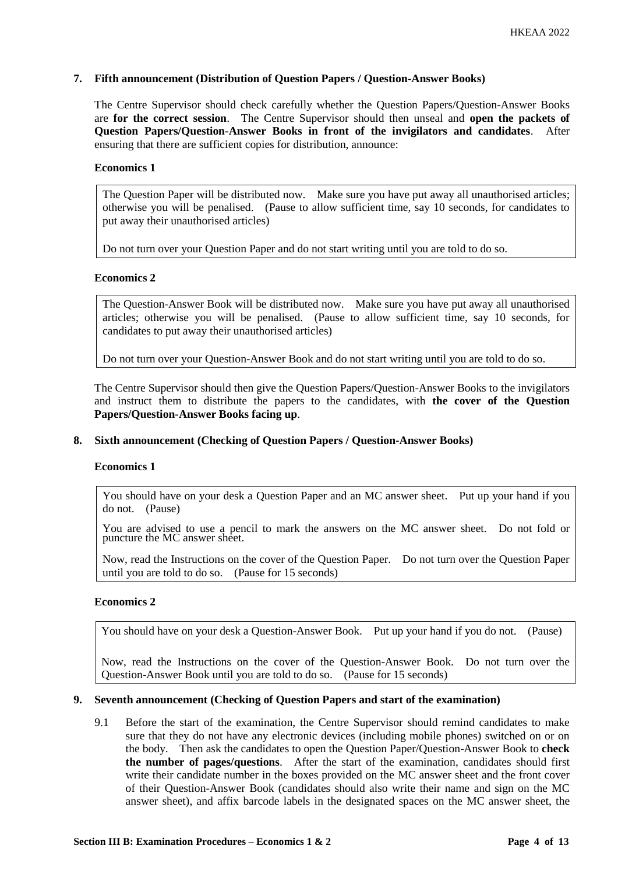# **7. Fifth announcement (Distribution of Question Papers / Question-Answer Books)**

The Centre Supervisor should check carefully whether the Question Papers/Question-Answer Books are **for the correct session**. The Centre Supervisor should then unseal and **open the packets of Question Papers/Question-Answer Books in front of the invigilators and candidates**. After ensuring that there are sufficient copies for distribution, announce:

#### **Economics 1**

The Question Paper will be distributed now. Make sure you have put away all unauthorised articles; otherwise you will be penalised. (Pause to allow sufficient time, say 10 seconds, for candidates to put away their unauthorised articles)

Do not turn over your Question Paper and do not start writing until you are told to do so.

# **Economics 2**

The Question-Answer Book will be distributed now. Make sure you have put away all unauthorised articles; otherwise you will be penalised. (Pause to allow sufficient time, say 10 seconds, for candidates to put away their unauthorised articles)

Do not turn over your Question-Answer Book and do not start writing until you are told to do so.

The Centre Supervisor should then give the Question Papers/Question-Answer Books to the invigilators and instruct them to distribute the papers to the candidates, with **the cover of the Question Papers/Question-Answer Books facing up**.

# **8. Sixth announcement (Checking of Question Papers / Question-Answer Books)**

#### **Economics 1**

You should have on your desk a Question Paper and an MC answer sheet. Put up your hand if you do not. (Pause)

You are advised to use a pencil to mark the answers on the MC answer sheet. Do not fold or puncture the MC answer sheet.

Now, read the Instructions on the cover of the Question Paper. Do not turn over the Question Paper until you are told to do so. (Pause for 15 seconds)

# **Economics 2**

You should have on your desk a Question-Answer Book. Put up your hand if you do not. (Pause)

Now, read the Instructions on the cover of the Question-Answer Book. Do not turn over the Question-Answer Book until you are told to do so. (Pause for 15 seconds)

# **9. Seventh announcement (Checking of Question Papers and start of the examination)**

9.1 Before the start of the examination, the Centre Supervisor should remind candidates to make sure that they do not have any electronic devices (including mobile phones) switched on or on the body. Then ask the candidates to open the Question Paper/Question-Answer Book to **check the number of pages/questions**. After the start of the examination, candidates should first write their candidate number in the boxes provided on the MC answer sheet and the front cover of their Question-Answer Book (candidates should also write their name and sign on the MC answer sheet), and affix barcode labels in the designated spaces on the MC answer sheet, the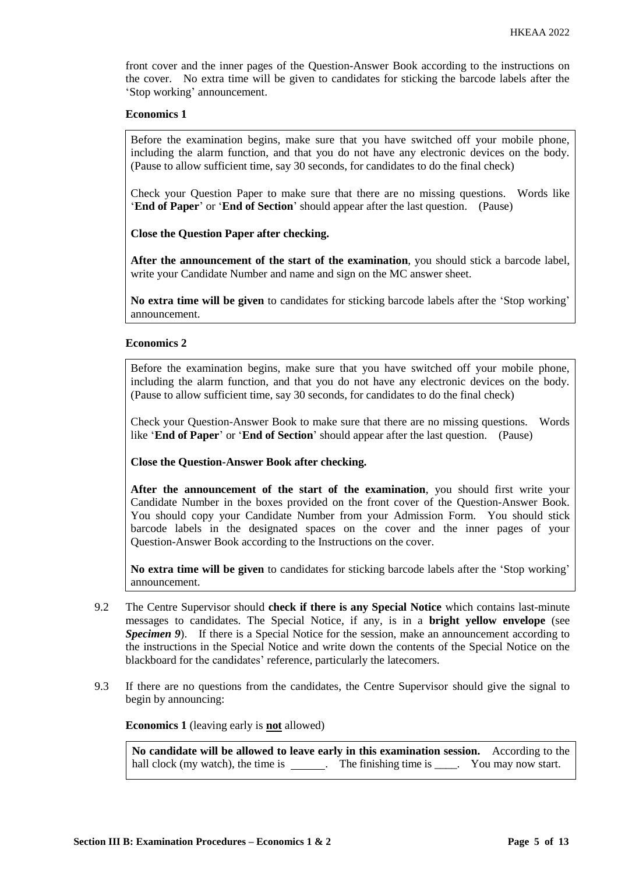front cover and the inner pages of the Question-Answer Book according to the instructions on the cover. No extra time will be given to candidates for sticking the barcode labels after the 'Stop working' announcement.

#### **Economics 1**

Before the examination begins, make sure that you have switched off your mobile phone, including the alarm function, and that you do not have any electronic devices on the body. (Pause to allow sufficient time, say 30 seconds, for candidates to do the final check)

Check your Question Paper to make sure that there are no missing questions. Words like '**End of Paper**' or '**End of Section**' should appear after the last question. (Pause)

**Close the Question Paper after checking.**

**After the announcement of the start of the examination**, you should stick a barcode label, write your Candidate Number and name and sign on the MC answer sheet.

**No extra time will be given** to candidates for sticking barcode labels after the 'Stop working' announcement.

## **Economics 2**

Before the examination begins, make sure that you have switched off your mobile phone, including the alarm function, and that you do not have any electronic devices on the body. (Pause to allow sufficient time, say 30 seconds, for candidates to do the final check)

Check your Question-Answer Book to make sure that there are no missing questions. Words like '**End of Paper**' or '**End of Section**' should appear after the last question. (Pause)

**Close the Question-Answer Book after checking.**

**After the announcement of the start of the examination**, you should first write your Candidate Number in the boxes provided on the front cover of the Question-Answer Book. You should copy your Candidate Number from your Admission Form. You should stick barcode labels in the designated spaces on the cover and the inner pages of your Question-Answer Book according to the Instructions on the cover.

**No extra time will be given** to candidates for sticking barcode labels after the 'Stop working' announcement.

- 9.2 The Centre Supervisor should **check if there is any Special Notice** which contains last-minute messages to candidates. The Special Notice, if any, is in a **bright yellow envelope** (see *Specimen 9*). If there is a Special Notice for the session, make an announcement according to the instructions in the Special Notice and write down the contents of the Special Notice on the blackboard for the candidates' reference, particularly the latecomers.
- 9.3 If there are no questions from the candidates, the Centre Supervisor should give the signal to begin by announcing:

**Economics 1** (leaving early is **not** allowed)

**No candidate will be allowed to leave early in this examination session.** According to the hall clock (my watch), the time is \_\_\_\_\_\_. The finishing time is \_\_\_\_. You may now start.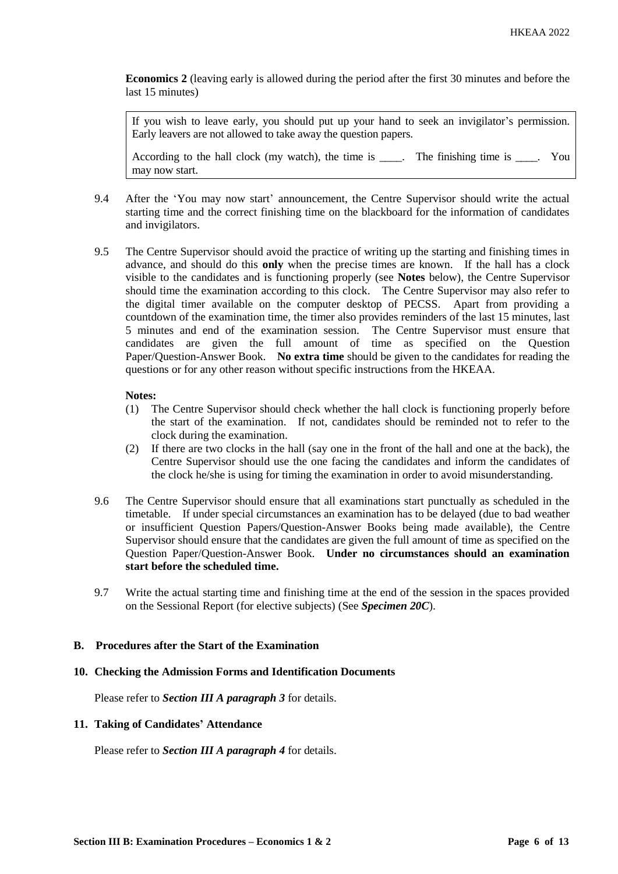**Economics 2** (leaving early is allowed during the period after the first 30 minutes and before the last 15 minutes)

If you wish to leave early, you should put up your hand to seek an invigilator's permission. Early leavers are not allowed to take away the question papers.

According to the hall clock (my watch), the time is \_\_\_\_. The finishing time is \_\_\_\_. You may now start.

- 9.4 After the 'You may now start' announcement, the Centre Supervisor should write the actual starting time and the correct finishing time on the blackboard for the information of candidates and invigilators.
- 9.5 The Centre Supervisor should avoid the practice of writing up the starting and finishing times in advance, and should do this **only** when the precise times are known. If the hall has a clock visible to the candidates and is functioning properly (see **Notes** below), the Centre Supervisor should time the examination according to this clock. The Centre Supervisor may also refer to the digital timer available on the computer desktop of PECSS. Apart from providing a countdown of the examination time, the timer also provides reminders of the last 15 minutes, last 5 minutes and end of the examination session. The Centre Supervisor must ensure that candidates are given the full amount of time as specified on the Question Paper/Question-Answer Book. **No extra time** should be given to the candidates for reading the questions or for any other reason without specific instructions from the HKEAA.

#### **Notes:**

- (1) The Centre Supervisor should check whether the hall clock is functioning properly before the start of the examination. If not, candidates should be reminded not to refer to the clock during the examination.
- (2) If there are two clocks in the hall (say one in the front of the hall and one at the back), the Centre Supervisor should use the one facing the candidates and inform the candidates of the clock he/she is using for timing the examination in order to avoid misunderstanding.
- 9.6 The Centre Supervisor should ensure that all examinations start punctually as scheduled in the timetable. If under special circumstances an examination has to be delayed (due to bad weather or insufficient Question Papers/Question-Answer Books being made available), the Centre Supervisor should ensure that the candidates are given the full amount of time as specified on the Question Paper/Question-Answer Book. **Under no circumstances should an examination start before the scheduled time.**
- 9.7 Write the actual starting time and finishing time at the end of the session in the spaces provided on the Sessional Report (for elective subjects) (See *Specimen 20C*).

# **B. Procedures after the Start of the Examination**

#### **10. Checking the Admission Forms and Identification Documents**

Please refer to *Section III A paragraph 3* for details.

#### **11. Taking of Candidates' Attendance**

Please refer to *Section III A paragraph 4* for details.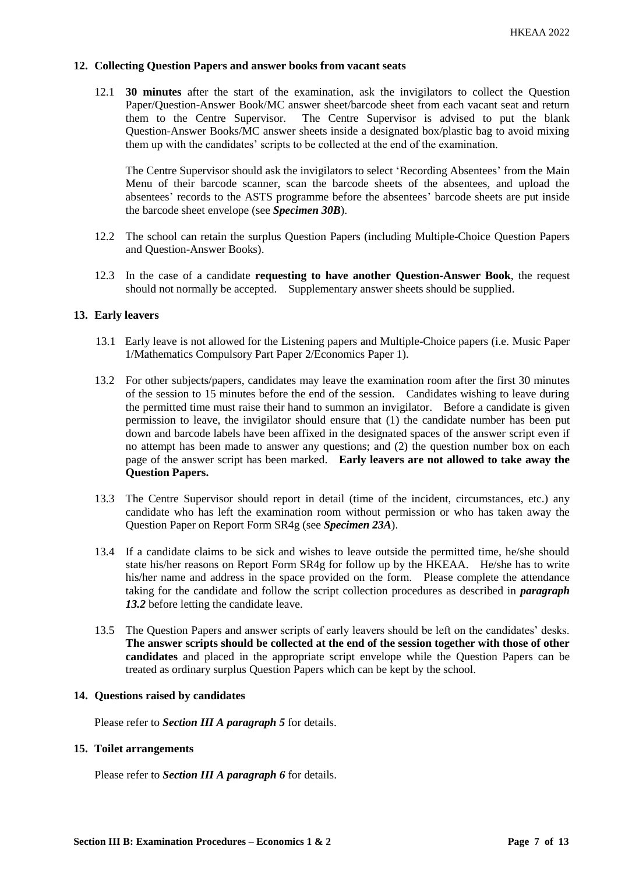# **12. Collecting Question Papers and answer books from vacant seats**

12.1 **30 minutes** after the start of the examination, ask the invigilators to collect the Question Paper/Question-Answer Book/MC answer sheet/barcode sheet from each vacant seat and return them to the Centre Supervisor. The Centre Supervisor is advised to put the blank Question-Answer Books/MC answer sheets inside a designated box/plastic bag to avoid mixing them up with the candidates' scripts to be collected at the end of the examination.

The Centre Supervisor should ask the invigilators to select 'Recording Absentees' from the Main Menu of their barcode scanner, scan the barcode sheets of the absentees, and upload the absentees' records to the ASTS programme before the absentees' barcode sheets are put inside the barcode sheet envelope (see *Specimen 30B*).

- 12.2 The school can retain the surplus Question Papers (including Multiple-Choice Question Papers and Question-Answer Books).
- 12.3 In the case of a candidate **requesting to have another Question-Answer Book**, the request should not normally be accepted. Supplementary answer sheets should be supplied.

## **13. Early leavers**

- 13.1 Early leave is not allowed for the Listening papers and Multiple-Choice papers (i.e. Music Paper 1/Mathematics Compulsory Part Paper 2/Economics Paper 1).
- 13.2 For other subjects/papers, candidates may leave the examination room after the first 30 minutes of the session to 15 minutes before the end of the session. Candidates wishing to leave during the permitted time must raise their hand to summon an invigilator. Before a candidate is given permission to leave, the invigilator should ensure that (1) the candidate number has been put down and barcode labels have been affixed in the designated spaces of the answer script even if no attempt has been made to answer any questions; and (2) the question number box on each page of the answer script has been marked. **Early leavers are not allowed to take away the Question Papers.**
- 13.3 The Centre Supervisor should report in detail (time of the incident, circumstances, etc.) any candidate who has left the examination room without permission or who has taken away the Question Paper on Report Form SR4g (see *Specimen 23A*).
- 13.4 If a candidate claims to be sick and wishes to leave outside the permitted time, he/she should state his/her reasons on Report Form SR4g for follow up by the HKEAA. He/she has to write his/her name and address in the space provided on the form. Please complete the attendance taking for the candidate and follow the script collection procedures as described in *paragraph*  13.2 before letting the candidate leave.
- 13.5 The Question Papers and answer scripts of early leavers should be left on the candidates' desks. **The answer scripts should be collected at the end of the session together with those of other candidates** and placed in the appropriate script envelope while the Question Papers can be treated as ordinary surplus Question Papers which can be kept by the school.

#### **14. Questions raised by candidates**

Please refer to *Section III A paragraph 5* for details.

#### **15. Toilet arrangements**

Please refer to *Section III A paragraph 6* for details.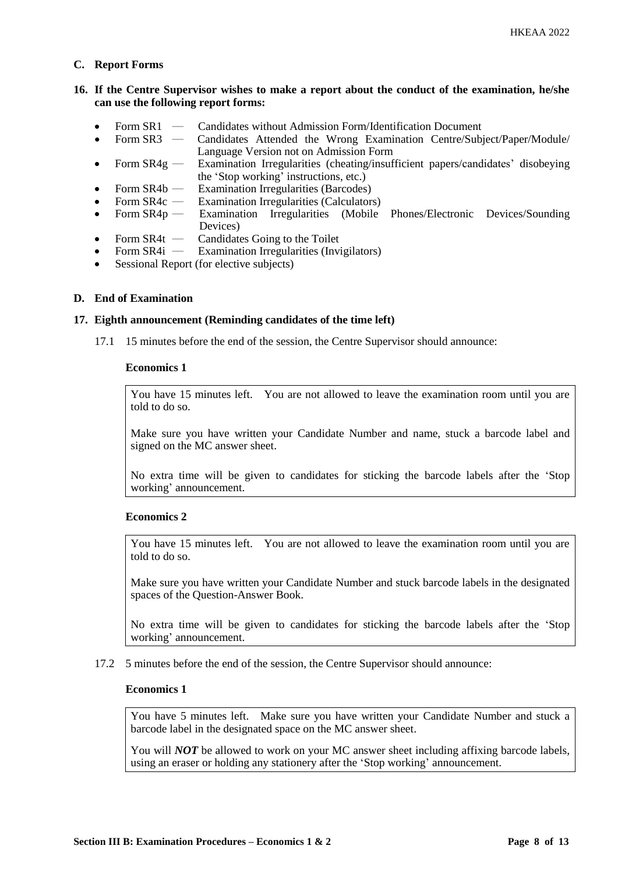# **C. Report Forms**

# **16. If the Centre Supervisor wishes to make a report about the conduct of the examination, he/she can use the following report forms:**

- Form SR1 Candidates without Admission Form/Identification Document
- Form SR3 ― Candidates Attended the Wrong Examination Centre/Subject/Paper/Module/ Language Version not on Admission Form
- Form SR4g Examination Irregularities (cheating/insufficient papers/candidates' disobeying the 'Stop working' instructions, etc.)
- Form  $SR4b$  Examination Irregularities (Barcodes)
- Form SR4c Examination Irregularities (Calculators)<br>Form SR4p Examination Irregularities (Mobile
- Form SR4p Examination Irregularities (Mobile Phones/Electronic Devices/Sounding Devices)
- Form SR4t Candidates Going to the Toilet<br>• Form SR4i Examination Irregularities (Invi
- Examination Irregularities (Invigilators)
- Sessional Report (for elective subjects)

## **D. End of Examination**

#### **17. Eighth announcement (Reminding candidates of the time left)**

17.1 15 minutes before the end of the session, the Centre Supervisor should announce:

#### **Economics 1**

You have 15 minutes left. You are not allowed to leave the examination room until you are told to do so.

Make sure you have written your Candidate Number and name, stuck a barcode label and signed on the MC answer sheet.

No extra time will be given to candidates for sticking the barcode labels after the 'Stop working' announcement.

# **Economics 2**

You have 15 minutes left. You are not allowed to leave the examination room until you are told to do so.

Make sure you have written your Candidate Number and stuck barcode labels in the designated spaces of the Question-Answer Book.

No extra time will be given to candidates for sticking the barcode labels after the 'Stop working' announcement.

17.2 5 minutes before the end of the session, the Centre Supervisor should announce:

#### **Economics 1**

You have 5 minutes left. Make sure you have written your Candidate Number and stuck a barcode label in the designated space on the MC answer sheet.

You will *NOT* be allowed to work on your MC answer sheet including affixing barcode labels, using an eraser or holding any stationery after the 'Stop working' announcement.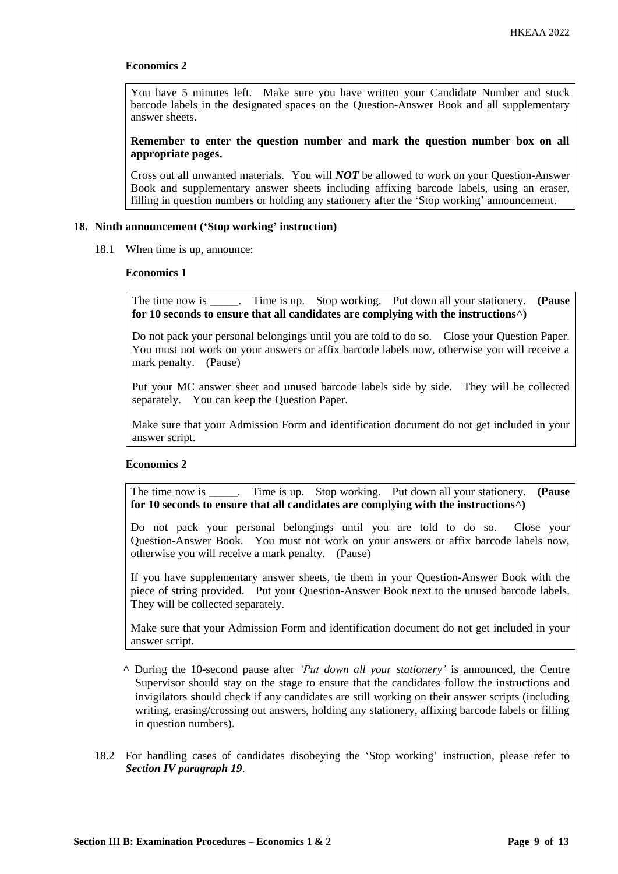# **Economics 2**

You have 5 minutes left. Make sure you have written your Candidate Number and stuck barcode labels in the designated spaces on the Question-Answer Book and all supplementary answer sheets.

**Remember to enter the question number and mark the question number box on all appropriate pages.**

Cross out all unwanted materials. You will *NOT* be allowed to work on your Question-Answer Book and supplementary answer sheets including affixing barcode labels, using an eraser, filling in question numbers or holding any stationery after the 'Stop working' announcement.

#### **18. Ninth announcement ('Stop working' instruction)**

18.1 When time is up, announce:

#### **Economics 1**

The time now is \_\_\_\_\_. Time is up. Stop working. Put down all your stationery. **(Pause for 10 seconds to ensure that all candidates are complying with the instructions^)**

Do not pack your personal belongings until you are told to do so. Close your Question Paper. You must not work on your answers or affix barcode labels now, otherwise you will receive a mark penalty. (Pause)

Put your MC answer sheet and unused barcode labels side by side. They will be collected separately. You can keep the Question Paper.

Make sure that your Admission Form and identification document do not get included in your answer script.

# **Economics 2**

The time now is \_\_\_\_\_. Time is up. Stop working. Put down all your stationery. **(Pause for 10 seconds to ensure that all candidates are complying with the instructions^)**

Do not pack your personal belongings until you are told to do so. Close your Question-Answer Book. You must not work on your answers or affix barcode labels now, otherwise you will receive a mark penalty. (Pause)

If you have supplementary answer sheets, tie them in your Question-Answer Book with the piece of string provided. Put your Question-Answer Book next to the unused barcode labels. They will be collected separately.

Make sure that your Admission Form and identification document do not get included in your answer script.

- **^** During the 10-second pause after *'Put down all your stationery'* is announced, the Centre Supervisor should stay on the stage to ensure that the candidates follow the instructions and invigilators should check if any candidates are still working on their answer scripts (including writing, erasing/crossing out answers, holding any stationery, affixing barcode labels or filling in question numbers).
- 18.2 For handling cases of candidates disobeying the 'Stop working' instruction, please refer to *Section IV paragraph 19*.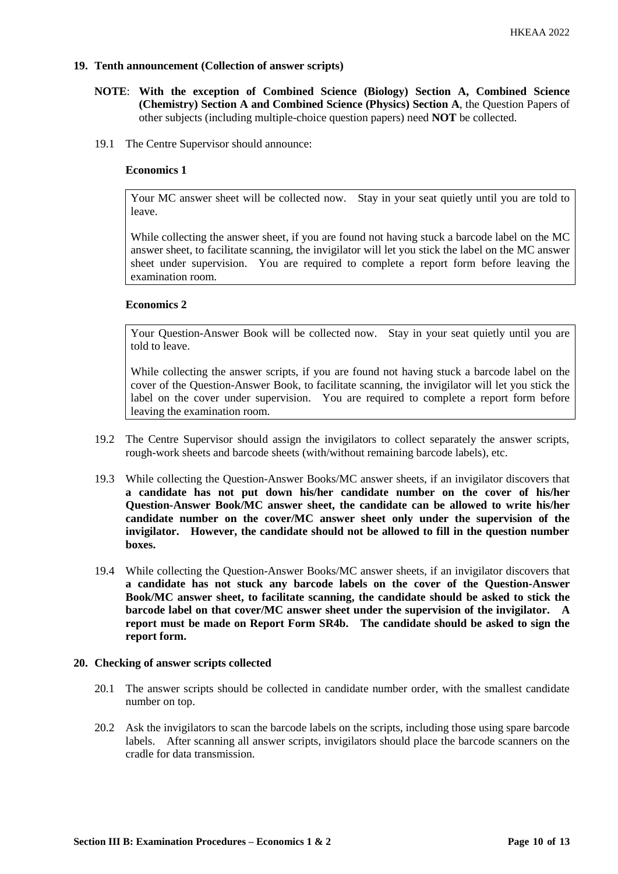# **19. Tenth announcement (Collection of answer scripts)**

- **NOTE**: **With the exception of Combined Science (Biology) Section A, Combined Science (Chemistry) Section A and Combined Science (Physics) Section A**, the Question Papers of other subjects (including multiple-choice question papers) need **NOT** be collected.
- 19.1 The Centre Supervisor should announce:

## **Economics 1**

Your MC answer sheet will be collected now. Stay in your seat quietly until you are told to leave.

While collecting the answer sheet, if you are found not having stuck a barcode label on the MC answer sheet, to facilitate scanning, the invigilator will let you stick the label on the MC answer sheet under supervision. You are required to complete a report form before leaving the examination room.

## **Economics 2**

Your Question-Answer Book will be collected now. Stay in your seat quietly until you are told to leave.

While collecting the answer scripts, if you are found not having stuck a barcode label on the cover of the Question-Answer Book, to facilitate scanning, the invigilator will let you stick the label on the cover under supervision. You are required to complete a report form before leaving the examination room.

- 19.2 The Centre Supervisor should assign the invigilators to collect separately the answer scripts, rough-work sheets and barcode sheets (with/without remaining barcode labels), etc.
- 19.3 While collecting the Question-Answer Books/MC answer sheets, if an invigilator discovers that **a candidate has not put down his/her candidate number on the cover of his/her Question-Answer Book/MC answer sheet, the candidate can be allowed to write his/her candidate number on the cover/MC answer sheet only under the supervision of the invigilator. However, the candidate should not be allowed to fill in the question number boxes.**
- 19.4 While collecting the Question-Answer Books/MC answer sheets, if an invigilator discovers that **a candidate has not stuck any barcode labels on the cover of the Question-Answer Book/MC answer sheet, to facilitate scanning, the candidate should be asked to stick the barcode label on that cover/MC answer sheet under the supervision of the invigilator. A report must be made on Report Form SR4b. The candidate should be asked to sign the report form.**

#### **20. Checking of answer scripts collected**

- 20.1 The answer scripts should be collected in candidate number order, with the smallest candidate number on top.
- 20.2 Ask the invigilators to scan the barcode labels on the scripts, including those using spare barcode labels. After scanning all answer scripts, invigilators should place the barcode scanners on the cradle for data transmission.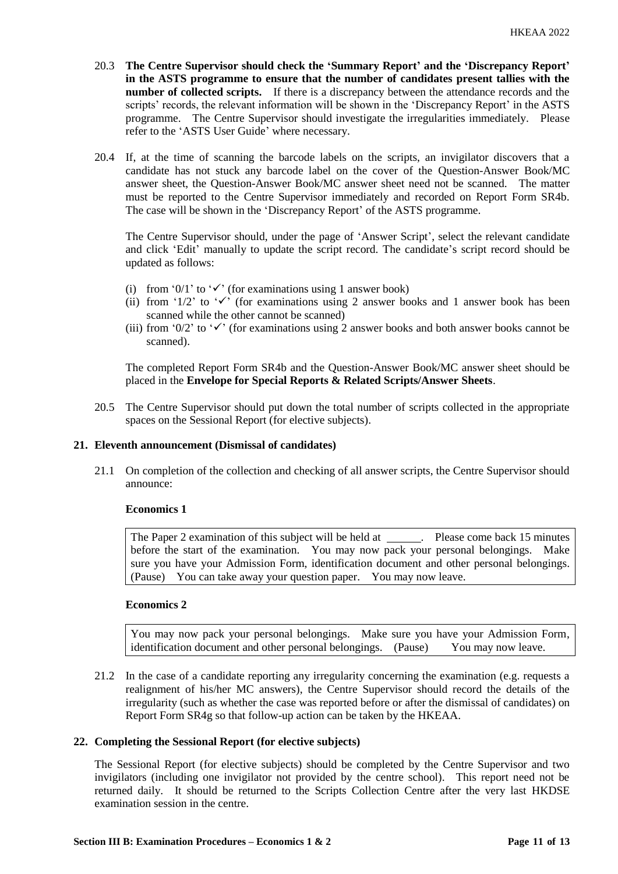- 20.3 **The Centre Supervisor should check the 'Summary Report' and the 'Discrepancy Report' in the ASTS programme to ensure that the number of candidates present tallies with the number of collected scripts.** If there is a discrepancy between the attendance records and the scripts' records, the relevant information will be shown in the 'Discrepancy Report' in the ASTS programme. The Centre Supervisor should investigate the irregularities immediately. Please refer to the 'ASTS User Guide' where necessary.
- 20.4 If, at the time of scanning the barcode labels on the scripts, an invigilator discovers that a candidate has not stuck any barcode label on the cover of the Question-Answer Book/MC answer sheet, the Question-Answer Book/MC answer sheet need not be scanned. The matter must be reported to the Centre Supervisor immediately and recorded on Report Form SR4b. The case will be shown in the 'Discrepancy Report' of the ASTS programme.

The Centre Supervisor should, under the page of 'Answer Script', select the relevant candidate and click 'Edit' manually to update the script record. The candidate's script record should be updated as follows:

- (i) from '0/1' to ' $\checkmark$ ' (for examinations using 1 answer book)
- (ii) from '1/2' to ' $\checkmark$ ' (for examinations using 2 answer books and 1 answer book has been scanned while the other cannot be scanned)
- (iii) from '0/2' to ' $\checkmark$ ' (for examinations using 2 answer books and both answer books cannot be scanned).

The completed Report Form SR4b and the Question-Answer Book/MC answer sheet should be placed in the **Envelope for Special Reports & Related Scripts/Answer Sheets**.

20.5 The Centre Supervisor should put down the total number of scripts collected in the appropriate spaces on the Sessional Report (for elective subjects).

# **21. Eleventh announcement (Dismissal of candidates)**

21.1 On completion of the collection and checking of all answer scripts, the Centre Supervisor should announce:

#### **Economics 1**

The Paper 2 examination of this subject will be held at \_\_\_\_\_\_. Please come back 15 minutes before the start of the examination. You may now pack your personal belongings. Make sure you have your Admission Form, identification document and other personal belongings. (Pause) You can take away your question paper. You may now leave.

#### **Economics 2**

You may now pack your personal belongings. Make sure you have your Admission Form, identification document and other personal belongings. (Pause) You may now leave.

21.2 In the case of a candidate reporting any irregularity concerning the examination (e.g. requests a realignment of his/her MC answers), the Centre Supervisor should record the details of the irregularity (such as whether the case was reported before or after the dismissal of candidates) on Report Form SR4g so that follow-up action can be taken by the HKEAA.

#### **22. Completing the Sessional Report (for elective subjects)**

The Sessional Report (for elective subjects) should be completed by the Centre Supervisor and two invigilators (including one invigilator not provided by the centre school). This report need not be returned daily. It should be returned to the Scripts Collection Centre after the very last HKDSE examination session in the centre.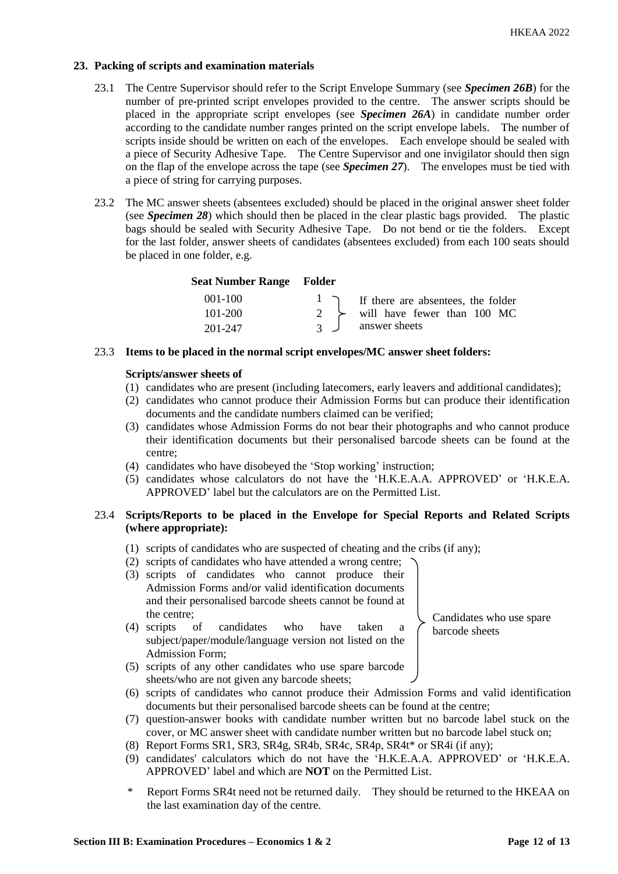# **23. Packing of scripts and examination materials**

- 23.1 The Centre Supervisor should refer to the Script Envelope Summary (see *Specimen 26B*) for the number of pre-printed script envelopes provided to the centre. The answer scripts should be placed in the appropriate script envelopes (see *Specimen 26A*) in candidate number order according to the candidate number ranges printed on the script envelope labels. The number of scripts inside should be written on each of the envelopes. Each envelope should be sealed with a piece of Security Adhesive Tape. The Centre Supervisor and one invigilator should then sign on the flap of the envelope across the tape (see *Specimen 27*). The envelopes must be tied with a piece of string for carrying purposes.
- 23.2 The MC answer sheets (absentees excluded) should be placed in the original answer sheet folder (see *Specimen 28*) which should then be placed in the clear plastic bags provided. The plastic bags should be sealed with Security Adhesive Tape. Do not bend or tie the folders. Except for the last folder, answer sheets of candidates (absentees excluded) from each 100 seats should be placed in one folder, e.g.

# **Seat Number Range Folder**

| $001-100$ |                 | $\frac{1}{\sqrt{1}}$ If there are absentees, the folder |
|-----------|-----------------|---------------------------------------------------------|
| 101-200   |                 | $\rightarrow$ will have fewer than 100 MC               |
| 201-247   | $\mathcal{R}$ J | answer sheets                                           |

# 23.3 **Items to be placed in the normal script envelopes/MC answer sheet folders:**

## **Scripts/answer sheets of**

- (1) candidates who are present (including latecomers, early leavers and additional candidates);
- (2) candidates who cannot produce their Admission Forms but can produce their identification documents and the candidate numbers claimed can be verified;
- (3) candidates whose Admission Forms do not bear their photographs and who cannot produce their identification documents but their personalised barcode sheets can be found at the centre;
- (4) candidates who have disobeyed the 'Stop working' instruction;
- (5) candidates whose calculators do not have the 'H.K.E.A.A. APPROVED' or 'H.K.E.A. APPROVED' label but the calculators are on the Permitted List.

# 23.4 **Scripts/Reports to be placed in the Envelope for Special Reports and Related Scripts (where appropriate):**

- (1) scripts of candidates who are suspected of cheating and the cribs (if any);
- (2) scripts of candidates who have attended a wrong centre;
- (3) scripts of candidates who cannot produce their Admission Forms and/or valid identification documents and their personalised barcode sheets cannot be found at the centre;
- (4) scripts of candidates who have taken a subject/paper/module/language version not listed on the Admission Form;

(5) scripts of any other candidates who use spare barcode sheets/who are not given any barcode sheets;

- (6) scripts of candidates who cannot produce their Admission Forms and valid identification documents but their personalised barcode sheets can be found at the centre;
- (7) question-answer books with candidate number written but no barcode label stuck on the cover, or MC answer sheet with candidate number written but no barcode label stuck on;
- (8) Report Forms SR1, SR3, SR4g, SR4b, SR4c, SR4p, SR4t\* or SR4i (if any);
- (9) candidates' calculators which do not have the 'H.K.E.A.A. APPROVED' or 'H.K.E.A. APPROVED' label and which are **NOT** on the Permitted List.
- Report Forms SR4t need not be returned daily. They should be returned to the HKEAA on the last examination day of the centre.

**Section III B: Examination Procedures – Economics 1 & 2 Page 12 of 13**

Candidates who use spare barcode sheets